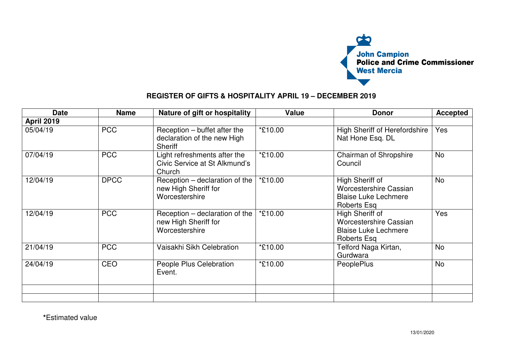

## **REGISTER OF GIFTS & HOSPITALITY APRIL 19 – DECEMBER 2019**

| <b>Date</b>       | <b>Name</b> | Nature of gift or hospitality                                                 | <b>Value</b> | <b>Donor</b>                                                                                   | <b>Accepted</b> |
|-------------------|-------------|-------------------------------------------------------------------------------|--------------|------------------------------------------------------------------------------------------------|-----------------|
| <b>April 2019</b> |             |                                                                               |              |                                                                                                |                 |
| 05/04/19          | <b>PCC</b>  | Reception – buffet after the<br>declaration of the new High<br><b>Sheriff</b> | *£10.00      | <b>High Sheriff of Herefordshire</b><br>Nat Hone Esq. DL                                       | Yes             |
| 07/04/19          | <b>PCC</b>  | Light refreshments after the<br>Civic Service at St Alkmund's<br>Church       | *£10.00      | Chairman of Shropshire<br>Council                                                              | No              |
| 12/04/19          | <b>DPCC</b> | Reception – declaration of the<br>new High Sheriff for<br>Worcestershire      | *£10.00      | High Sheriff of<br><b>Worcestershire Cassian</b><br><b>Blaise Luke Lechmere</b><br>Roberts Esq | <b>No</b>       |
| 12/04/19          | <b>PCC</b>  | Reception – declaration of the<br>new High Sheriff for<br>Worcestershire      | *£10.00      | High Sheriff of<br>Worcestershire Cassian<br><b>Blaise Luke Lechmere</b><br><b>Roberts Esq</b> | Yes             |
| 21/04/19          | <b>PCC</b>  | Vaisakhi Sikh Celebration                                                     | *£10.00      | Telford Naga Kirtan,<br>Gurdwara                                                               | <b>No</b>       |
| 24/04/19          | CEO         | People Plus Celebration<br>Event.                                             | *£10.00      | <b>PeoplePlus</b>                                                                              | No              |
|                   |             |                                                                               |              |                                                                                                |                 |
|                   |             |                                                                               |              |                                                                                                |                 |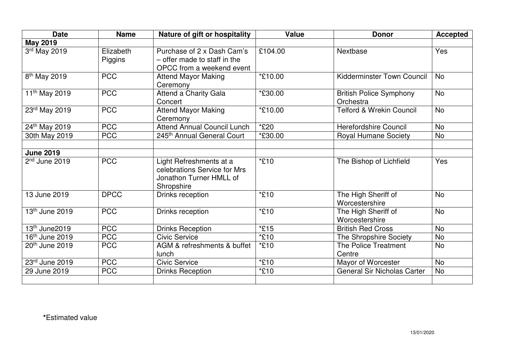| <b>Date</b>                | <b>Name</b>          | Nature of gift or hospitality                                                                    | <b>Value</b> | <b>Donor</b>                                | <b>Accepted</b> |
|----------------------------|----------------------|--------------------------------------------------------------------------------------------------|--------------|---------------------------------------------|-----------------|
| <b>May 2019</b>            |                      |                                                                                                  |              |                                             |                 |
| 3rd May 2019               | Elizabeth<br>Piggins | Purchase of 2 x Dash Cam's<br>- offer made to staff in the<br>OPCC from a weekend event          | £104.00      | Nextbase                                    | Yes             |
| 8 <sup>th</sup> May 2019   | <b>PCC</b>           | <b>Attend Mayor Making</b><br>Ceremony                                                           | *£10.00      | <b>Kidderminster Town Council</b>           | <b>No</b>       |
| 11 <sup>th</sup> May 2019  | <b>PCC</b>           | <b>Attend a Charity Gala</b><br>Concert                                                          | *£30.00      | <b>British Police Symphony</b><br>Orchestra | <b>No</b>       |
| 23rd May 2019              | <b>PCC</b>           | <b>Attend Mayor Making</b><br>Ceremony                                                           | *£10.00      | <b>Telford &amp; Wrekin Council</b>         | <b>No</b>       |
| 24th May 2019              | <b>PCC</b>           | <b>Attend Annual Council Lunch</b>                                                               | *£20         | <b>Herefordshire Council</b>                | <b>No</b>       |
| 30th May 2019              | <b>PCC</b>           | 245th Annual General Court                                                                       | *£30.00      | <b>Royal Humane Society</b>                 | <b>No</b>       |
| <b>June 2019</b>           |                      |                                                                                                  |              |                                             |                 |
| $2nd$ June 2019            | <b>PCC</b>           | Light Refreshments at a<br>celebrations Service for Mrs<br>Jonathon Turner HMLL of<br>Shropshire | *£10         | The Bishop of Lichfield                     | Yes             |
| 13 June 2019               | <b>DPCC</b>          | Drinks reception                                                                                 | *£10         | The High Sheriff of<br>Worcestershire       | <b>No</b>       |
| 13th June 2019             | <b>PCC</b>           | Drinks reception                                                                                 | *£10         | The High Sheriff of<br>Worcestershire       | <b>No</b>       |
| 13 <sup>th</sup> June2019  | <b>PCC</b>           | <b>Drinks Reception</b>                                                                          | *£15         | <b>British Red Cross</b>                    | <b>No</b>       |
| 16 <sup>th</sup> June 2019 | <b>PCC</b>           | <b>Civic Service</b>                                                                             | *£10         | The Shropshire Society                      | <b>No</b>       |
| 20 <sup>th</sup> June 2019 | <b>PCC</b>           | AGM & refreshments & buffet<br>lunch                                                             | *£10         | <b>The Police Treatment</b><br>Centre       | <b>No</b>       |
| 23rd June 2019             | <b>PCC</b>           | <b>Civic Service</b>                                                                             | *£10         | Mayor of Worcester                          | <b>No</b>       |
| 29 June 2019               | <b>PCC</b>           | <b>Drinks Reception</b>                                                                          | *£10         | <b>General Sir Nicholas Carter</b>          | <b>No</b>       |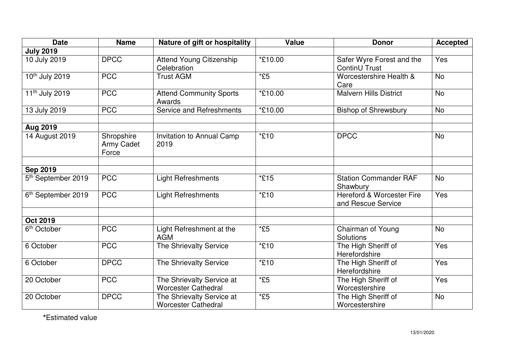| <b>Date</b>                    | <b>Name</b>                       | Nature of gift or hospitality                           | <b>Value</b> | <b>Donor</b>                                    | <b>Accepted</b> |
|--------------------------------|-----------------------------------|---------------------------------------------------------|--------------|-------------------------------------------------|-----------------|
| <b>July 2019</b>               |                                   |                                                         |              |                                                 |                 |
| 10 July 2019                   | <b>DPCC</b>                       | Attend Young Citizenship<br>Celebration                 | *£10.00      | Safer Wyre Forest and the<br>ContinU Trust      | Yes             |
| 10th July 2019                 | <b>PCC</b>                        | <b>Trust AGM</b>                                        | $*E5$        | Worcestershire Health &<br>Care                 | <b>No</b>       |
| 11 <sup>th</sup> July 2019     | <b>PCC</b>                        | <b>Attend Community Sports</b><br>Awards                | *£10.00      | <b>Malvern Hills District</b>                   | <b>No</b>       |
| 13 July 2019                   | <b>PCC</b>                        | <b>Service and Refreshments</b>                         | *£10.00      | <b>Bishop of Shrewsbury</b>                     | No              |
| <b>Aug 2019</b>                |                                   |                                                         |              |                                                 |                 |
| 14 August 2019                 | Shropshire<br>Army Cadet<br>Force | Invitation to Annual Camp<br>2019                       | *£10         | <b>DPCC</b>                                     | <b>No</b>       |
| <b>Sep 2019</b>                |                                   |                                                         |              |                                                 |                 |
| 5 <sup>th</sup> September 2019 | <b>PCC</b>                        | <b>Light Refreshments</b>                               | *£15         | <b>Station Commander RAF</b><br>Shawbury        | <b>No</b>       |
| 6 <sup>th</sup> September 2019 | <b>PCC</b>                        | <b>Light Refreshments</b>                               | *£10         | Hereford & Worcester Fire<br>and Rescue Service | Yes             |
| <b>Oct 2019</b>                |                                   |                                                         |              |                                                 |                 |
| 6 <sup>th</sup> October        | <b>PCC</b>                        | Light Refreshment at the<br><b>AGM</b>                  | $*E5$        | Chairman of Young<br>Solutions                  | <b>No</b>       |
| 6 October                      | <b>PCC</b>                        | The Shrievalty Service                                  | *£10         | The High Sheriff of<br>Herefordshire            | Yes             |
| 6 October                      | <b>DPCC</b>                       | The Shrievalty Service                                  | *£10         | The High Sheriff of<br>Herefordshire            | Yes             |
| 20 October                     | <b>PCC</b>                        | The Shrievalty Service at<br><b>Worcester Cathedral</b> | $*E5$        | The High Sheriff of<br>Worcestershire           | Yes             |
| 20 October                     | <b>DPCC</b>                       | The Shrievalty Service at<br><b>Worcester Cathedral</b> | $*E5$        | The High Sheriff of<br>Worcestershire           | <b>No</b>       |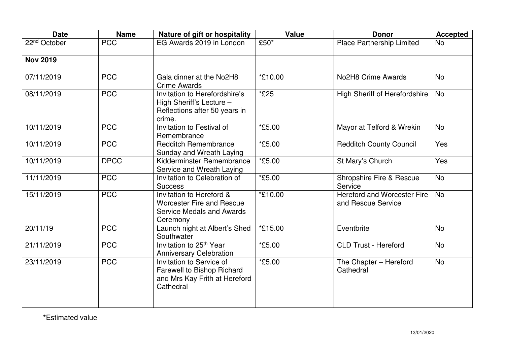| <b>Date</b>              | <b>Name</b> | Nature of gift or hospitality                                                                                | <b>Value</b> | <b>Donor</b>                                             | <b>Accepted</b> |
|--------------------------|-------------|--------------------------------------------------------------------------------------------------------------|--------------|----------------------------------------------------------|-----------------|
| 22 <sup>nd</sup> October | <b>PCC</b>  | EG Awards 2019 in London                                                                                     | £50*         | <b>Place Partnership Limited</b>                         | <b>No</b>       |
|                          |             |                                                                                                              |              |                                                          |                 |
| <b>Nov 2019</b>          |             |                                                                                                              |              |                                                          |                 |
|                          |             |                                                                                                              |              |                                                          |                 |
| 07/11/2019               | <b>PCC</b>  | Gala dinner at the No2H8<br><b>Crime Awards</b>                                                              | *£10.00      | No2H8 Crime Awards                                       | <b>No</b>       |
| 08/11/2019               | <b>PCC</b>  | Invitation to Herefordshire's<br>High Sheriff's Lecture -<br>Reflections after 50 years in<br>crime.         | *£25         | <b>High Sheriff of Herefordshire</b>                     | <b>No</b>       |
| 10/11/2019               | <b>PCC</b>  | Invitation to Festival of<br>Remembrance                                                                     | *£5.00       | Mayor at Telford & Wrekin                                | <b>No</b>       |
| 10/11/2019               | <b>PCC</b>  | <b>Redditch Remembrance</b><br>Sunday and Wreath Laying                                                      | *£5.00       | <b>Redditch County Council</b>                           | Yes             |
| 10/11/2019               | <b>DPCC</b> | Kidderminster Remembrance<br>Service and Wreath Laying                                                       | *£5.00       | St Mary's Church                                         | Yes             |
| 11/11/2019               | <b>PCC</b>  | Invitation to Celebration of<br><b>Success</b>                                                               | *£5.00       | Shropshire Fire & Rescue<br>Service                      | <b>No</b>       |
| 15/11/2019               | <b>PCC</b>  | Invitation to Hereford &<br><b>Worcester Fire and Rescue</b><br><b>Service Medals and Awards</b><br>Ceremony | *£10.00      | <b>Hereford and Worcester Fire</b><br>and Rescue Service | <b>No</b>       |
| 20/11/19                 | <b>PCC</b>  | Launch night at Albert's Shed<br>Southwater                                                                  | *£15.00      | Eventbrite                                               | <b>No</b>       |
| 21/11/2019               | <b>PCC</b>  | Invitation to 25 <sup>th</sup> Year<br><b>Anniversary Celebration</b>                                        | *£5.00       | <b>CLD Trust - Hereford</b>                              | <b>No</b>       |
| 23/11/2019               | <b>PCC</b>  | Invitation to Service of<br><b>Farewell to Bishop Richard</b><br>and Mrs Kay Frith at Hereford<br>Cathedral  | *£5.00       | The Chapter - Hereford<br>Cathedral                      | <b>No</b>       |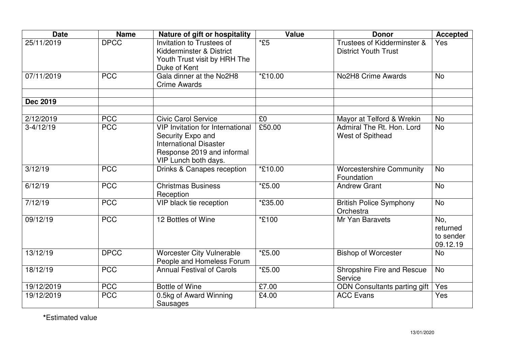| <b>Date</b>     | <b>Name</b> | Nature of gift or hospitality                                                                                                                       | Value                | <b>Donor</b>                                               | <b>Accepted</b>                          |
|-----------------|-------------|-----------------------------------------------------------------------------------------------------------------------------------------------------|----------------------|------------------------------------------------------------|------------------------------------------|
| 25/11/2019      | <b>DPCC</b> | Invitation to Trustees of<br>Kidderminster & District<br>Youth Trust visit by HRH The<br>Duke of Kent                                               | $*E5$                | Trustees of Kidderminster &<br><b>District Youth Trust</b> | Yes                                      |
| 07/11/2019      | <b>PCC</b>  | Gala dinner at the No2H8<br><b>Crime Awards</b>                                                                                                     | *£10.00              | No2H8 Crime Awards                                         | <b>No</b>                                |
| <b>Dec 2019</b> |             |                                                                                                                                                     |                      |                                                            |                                          |
| 2/12/2019       | <b>PCC</b>  | <b>Civic Carol Service</b>                                                                                                                          | £0                   | Mayor at Telford & Wrekin                                  | <b>No</b>                                |
| $3-4/12/19$     | <b>PCC</b>  | <b>VIP Invitation for International</b><br>Security Expo and<br><b>International Disaster</b><br>Response 2019 and informal<br>VIP Lunch both days. | £50.00               | Admiral The Rt. Hon. Lord<br>West of Spithead              | <b>No</b>                                |
| 3/12/19         | <b>PCC</b>  | Drinks & Canapes reception                                                                                                                          | *£10.00              | <b>Worcestershire Community</b><br>Foundation              | <b>No</b>                                |
| 6/12/19         | <b>PCC</b>  | <b>Christmas Business</b><br>Reception                                                                                                              | *£5.00               | <b>Andrew Grant</b>                                        | <b>No</b>                                |
| 7/12/19         | <b>PCC</b>  | VIP black tie reception                                                                                                                             | *£35.00              | <b>British Police Symphony</b><br>Orchestra                | <b>No</b>                                |
| 09/12/19        | <b>PCC</b>  | 12 Bottles of Wine                                                                                                                                  | *£100                | Mr Yan Baravets                                            | No,<br>returned<br>to sender<br>09.12.19 |
| 13/12/19        | <b>DPCC</b> | <b>Worcester City Vulnerable</b><br>People and Homeless Forum                                                                                       | <i><b>*£5.00</b></i> | <b>Bishop of Worcester</b>                                 | <b>No</b>                                |
| 18/12/19        | <b>PCC</b>  | <b>Annual Festival of Carols</b>                                                                                                                    | *£5.00               | Shropshire Fire and Rescue<br>Service                      | <b>No</b>                                |
| 19/12/2019      | <b>PCC</b>  | <b>Bottle of Wine</b>                                                                                                                               | $\overline{£7.00}$   | <b>ODN Consultants parting gift</b>                        | Yes                                      |
| 19/12/2019      | <b>PCC</b>  | 0.5kg of Award Winning<br>Sausages                                                                                                                  | £4.00                | <b>ACC Evans</b>                                           | Yes                                      |